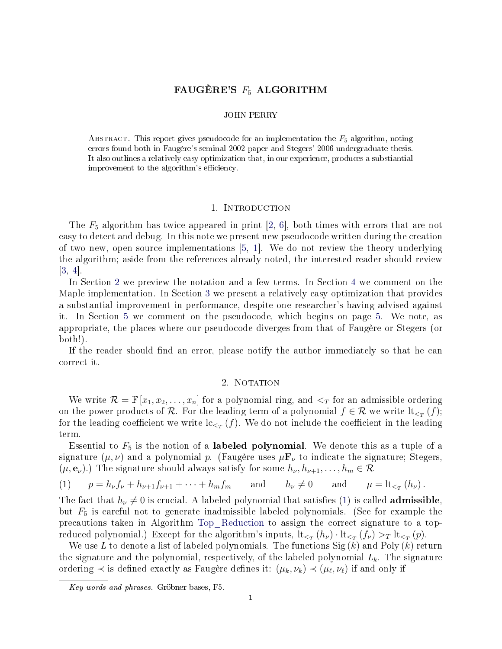# FAUGÈRE'S  $F_5$  ALGORITHM

#### JOHN PERRY

ABSTRACT. This report gives pseudocode for an implementation the  $F_5$  algorithm, noting errors found both in Faugère's seminal 2002 paper and Stegers' 2006 undergraduate thesis. It also outlines a relatively easy optimization that, in our experience, produces a substiantial improvement to the algorithm's efficiency.

### 1. INTRODUCTION

The  $F_5$  algorithm has twice appeared in print [\[2,](#page-11-0) [6\]](#page-11-1), both times with errors that are not easy to detect and debug. In this note we present new pseudocode written during the creation of two new, open-source implementations [\[5,](#page-11-2) [1\]](#page-11-3). We do not review the theory underlying the algorithm; aside from the references already noted, the interested reader should review  $|3, 4|$ .

In Section [2](#page-0-0) we preview the notation and a few terms. In Section [4](#page-1-0) we comment on the Maple implementation. In Section [3](#page-1-1) we present a relatively easy optimization that provides a substantial improvement in performance, despite one researcher's having advised against it. In Section [5](#page-2-0) we comment on the pseudocode, which begins on page [5.](#page-4-0) We note, as appropriate, the places where our pseudocode diverges from that of Faugère or Stegers (or both!).

If the reader should find an error, please notify the author immediately so that he can correct it.

# 2. NOTATION

<span id="page-0-0"></span>We write  $\mathcal{R} = \mathbb{F}[x_1, x_2, \ldots, x_n]$  for a polynomial ring, and  $\leq_T$  for an admissible ordering on the power products of  $\mathcal R$ . For the leading term of a polynomial  $f \in \mathcal R$  we write  $\operatorname{lt}_{\le_T}(f);$ for the leading coefficient we write  $\mathrm{lc}_{\leq_T}(f).$  We do not include the coefficient in the leading term.

Essential to  $F_5$  is the notion of a labeled polynomial. We denote this as a tuple of a signature  $(\mu, \nu)$  and a polynomial p. (Faugère uses  $\mu \mathbf{F}_{\nu}$  to indicate the signature; Stegers,  $(\mu, \mathbf{e}_{\nu})$ .) The signature should always satisfy for some  $h_{\nu}, h_{\nu+1}, \ldots, h_m \in \mathcal{R}$ 

<span id="page-0-1"></span>(1) 
$$
p = h_{\nu} f_{\nu} + h_{\nu+1} f_{\nu+1} + \dots + h_m f_m
$$
 and  $h_{\nu} \neq 0$  and  $\mu = \text{lt}_{\leq_T} (h_{\nu})$ .

The fact that  $h_{\nu} \neq 0$  is crucial. A labeled polynomial that satisfies [\(1\)](#page-0-1) is called **admissible**, but  $F_5$  is careful not to generate inadmissible labeled polynomials. (See for example the precautions taken in Algorithm Top\_[Reduction](#page-9-0) to assign the correct signature to a topreduced polynomial.) Except for the algorithm's inputs,  $\operatorname{lt}_{\leq_T}(h_\nu) \cdot \operatorname{lt}_{\leq_T}(f_\nu) >_T \operatorname{lt}_{\leq_T}(p)$ .

We use L to denote a list of labeled polynomials. The functions  $\text{Sig}(k)$  and  $\text{Poly}(k)$  return the signature and the polynomial, respectively, of the labeled polynomial  $L_k$ . The signature ordering  $\prec$  is defined exactly as Faugère defines it:  $(\mu_k, \nu_k) \prec (\mu_\ell, \nu_\ell)$  if and only if

Key words and phrases. Gröbner bases, F5.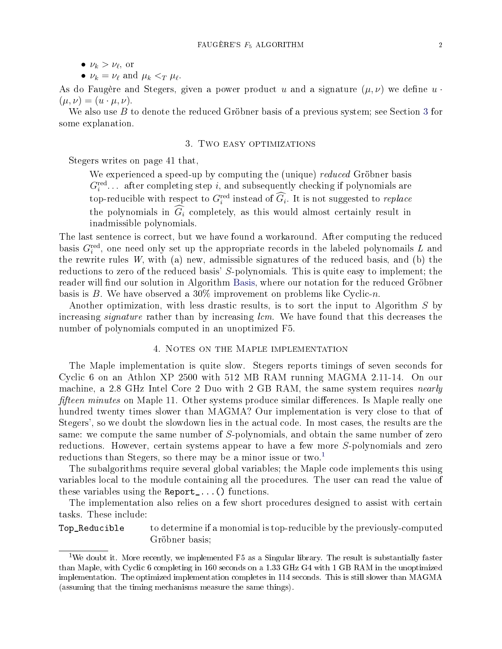•  $\nu_k = \nu_\ell$  and  $\mu_k <_T \mu_\ell$ .

As do Faugère and Stegers, given a power product u and a signature  $(\mu, \nu)$  we define  $u \cdot$  $(\mu, \nu) = (u \cdot \mu, \nu).$ 

We also use  $B$  to denote the reduced Gröbner basis of a previous system; see Section [3](#page-1-1) for some explanation.

## 3. Two easy optimizations

<span id="page-1-1"></span>Stegers writes on page 41 that,

We experienced a speed-up by computing the (unique) *reduced* Gröbner basis  $G_i^{\text{red}}$ ... after completing step i, and subsequently checking if polynomials are top-reducible with respect to  $G_i^{\text{red}}$  instead of  $G_i$ . It is not suggested to *replace* the polynomials in  $\widehat{G}_i$  completely, as this would almost certainly result in inadmissible polynomials.

The last sentence is correct, but we have found a workaround. After computing the reduced basis  $G_i^{\text{red}}$ , one need only set up the appropriate records in the labeled polynomails  $L$  and the rewrite rules  $W$ , with (a) new, admissible signatures of the reduced basis, and (b) the reductions to zero of the reduced basis' S-polynomials. This is quite easy to implement; the reader will find our solution in Algorithm [Basis](#page-4-0), where our notation for the reduced Gröbner basis is B. We have observed a  $30\%$  improvement on problems like Cyclic-n.

Another optimization, with less drastic results, is to sort the input to Algorithm S by increasing *signature* rather than by increasing *lcm*. We have found that this decreases the number of polynomials computed in an unoptimized F5.

## 4. Notes on the Maple implementation

<span id="page-1-0"></span>The Maple implementation is quite slow. Stegers reports timings of seven seconds for Cyclic 6 on an Athlon XP 2500 with 512 MB RAM running MAGMA 2.11-14. On our machine, a 2.8 GHz Intel Core 2 Duo with 2 GB RAM, the same system requires *nearly fifteen minutes* on Maple 11. Other systems produce similar differences. Is Maple really one hundred twenty times slower than MAGMA? Our implementation is very close to that of Stegers', so we doubt the slowdown lies in the actual code. In most cases, the results are the same: we compute the same number of S-polynomials, and obtain the same number of zero reductions. However, certain systems appear to have a few more S-polynomials and zero reductions than Stegers, so there may be a minor issue or two.<sup>[1](#page-1-2)</sup>

The subalgorithms require several global variables; the Maple code implements this using variables local to the module containing all the procedures. The user can read the value of these variables using the Report\_...() functions.

The implementation also relies on a few short procedures designed to assist with certain tasks. These include:

Top\_Reducible to determine if a monomial is top-reducible by the previously-computed Gröbner basis;

<span id="page-1-2"></span><sup>&</sup>lt;sup>1</sup>We doubt it. More recently, we implemented F5 as a Singular library. The result is substantially faster than Maple, with Cyclic 6 completing in 160 seconds on a 1.33 GHz G4 with 1 GB RAM in the unoptimized implementation. The optimized implementation completes in 114 seconds. This is still slower than MAGMA (assuming that the timing mechanisms measure the same things).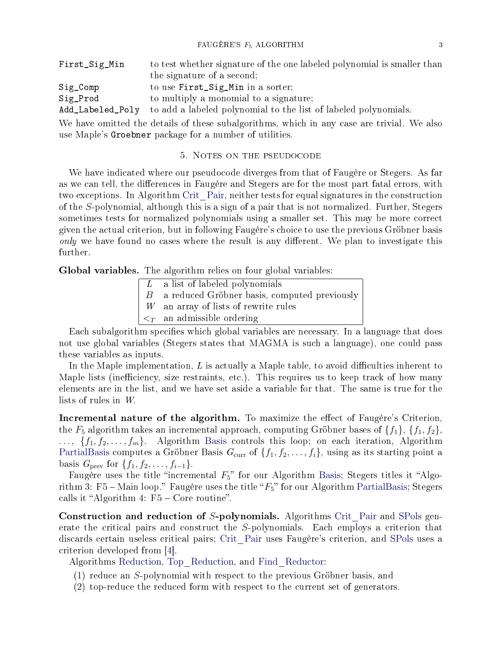| First_Sig_Min    | to test whether signature of the one labeled polynomial is smaller than                    |
|------------------|--------------------------------------------------------------------------------------------|
|                  | the signature of a second;                                                                 |
| $Sig\_Comp$      | to use First_Sig_Min in a sorter;                                                          |
| Sig_Prod         | to multiply a monomial to a signature;                                                     |
| Add_Labeled_Poly | to add a labeled polynomial to the list of labeled polynomials.                            |
|                  | We have omitted the details of these subalgorithms, which in any case are trivial. We also |
|                  | use Maple's Groebner package for a number of utilities.                                    |

#### 5. Notes on the pseudocode

<span id="page-2-0"></span>We have indicated where our pseudocode diverges from that of Faugère or Stegers. As far as we can tell, the differences in Faugère and Stegers are for the most part fatal errors, with two exceptions. In Algorithm Crit\_[Pair](#page-6-0), neither tests for equal signatures in the construction of the S-polynomial, although this is a sign of a pair that is not normalized. Further, Stegers sometimes tests for normalized polynomials using a smaller set. This may be more correct given the actual criterion, but in following Faugère's choice to use the previous Gröbner basis only we have found no cases where the result is any different. We plan to investigate this further.

Global variables. The algorithm relies on four global variables:

- a list of labeled polynomials B a reduced Gröbner basis, computed previously
- W an array of lists of rewrite rules
- an admissible ordering

Each subalgorithm specifies which global variables are necessary. In a language that does not use global variables (Stegers states that MAGMA is such a language), one could pass these variables as inputs.

In the Maple implementation,  $L$  is actually a Maple table, to avoid difficulties inherent to Maple lists (inefficiency, size restraints, etc.). This requires us to keep track of how many elements are in the list, and we have set aside a variable for that. The same is true for the lists of rules in W.

Incremental nature of the algorithm. To maximize the effect of Faugère's Criterion, the  $F_5$  algorithm takes an incremental approach, computing Gröbner bases of  $\{f_1\}$ ,  $\{f_1, f_2\}$ ,  $\ldots, \{f_1, f_2, \ldots, f_m\}.$  Algorithm [Basis](#page-4-0) controls this loop; on each iteration, Algorithm [PartialBasis](#page-5-0) computes a Gröbner Basis  $G_{\text{curr}}$  of  $\{f_1, f_2, \ldots, f_i\}$ , using as its starting point a basis  $G_{\text{prev}}$  for  $\{f_1, f_2, \ldots, f_{i-1}\}.$ 

Faugère uses the title "incremental  $F_5$ " for our Algorithm [Basis](#page-4-0); Stegers titles it "Algorithm 3: F5 – Main loop." Faugère uses the title " $F_5$ " for our Algorithm [PartialBasis](#page-5-0); Stegers calls it "Algorithm 4:  $F5 - Core routine$ ".

Construction and reduction of S-polynomials. Algorithms Crit [Pair](#page-6-0) and [SPols](#page-7-0) generate the critical pairs and construct the S-polynomials. Each employs a criterion that discards certain useless critical pairs; Crit\_[Pair](#page-6-0) uses Faugère's criterion, and [SPols](#page-7-0) uses a criterion developed from [\[4\]](#page-11-5).

Algorithms [Reduction](#page-8-0), Top\_[Reduction](#page-9-0), and Find\_[Reductor](#page-10-0):

- (1) reduce an S-polynomial with respect to the previous Gröbner basis, and
- (2) top-reduce the reduced form with respect to the current set of generators.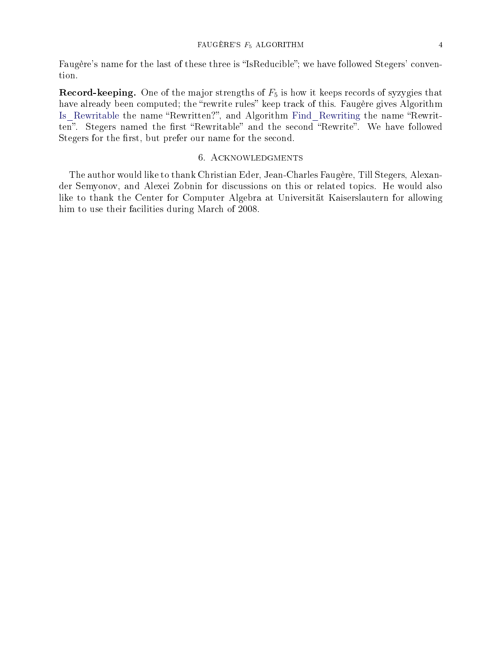Faugère's name for the last of these three is "IsReducible"; we have followed Stegers' convention.

**Record-keeping.** One of the major strengths of  $F_5$  is how it keeps records of syzygies that have already been computed; the "rewrite rules" keep track of this. Faugère gives Algorithm Is\_[Rewritable](#page-10-1) the name "Rewritten?", and Algorithm Find\_[Rewriting](#page-11-6) the name "Rewritten". Stegers named the first "Rewritable" and the second "Rewrite". We have followed Stegers for the first, but prefer our name for the second.

# 6. Acknowledgments

The author would like to thank Christian Eder, Jean-Charles Faugère, Till Stegers, Alexander Semyonov, and Alexei Zobnin for discussions on this or related topics. He would also like to thank the Center for Computer Algebra at Universität Kaiserslautern for allowing him to use their facilities during March of 2008.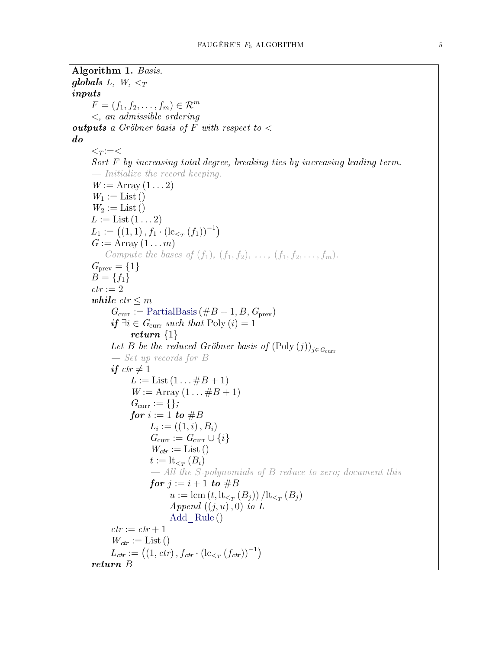<span id="page-4-0"></span>Algorithm 1. Basis. globals L, W,  $\leq_T$ inputs  $F = (f_1, f_2, \ldots, f_m) \in \mathcal{R}^m$ <, an admissible ordering **outputs** a Gröbner basis of F with respect to  $\lt$ do  $\lt_T := <$ Sort F by increasing total degree, breaking ties by increasing leading term.  $\hspace{0.1em}$  - Initialize the record keeping.  $W := \text{Array}(1 \dots 2)$  $W_1 :=$  List ()  $W_2 :=$  List ()  $L :=$  List  $(1 \dots 2)$  $L_1 := ((1,1), f_1 \cdot (\mathrm{lc}_{\lt_T}(f_1))^{-1})$  $G := \text{Array}(1 \dots m)$ - Compute the bases of  $(f_1), (f_1, f_2), \ldots, (f_1, f_2, \ldots, f_m)$ .  $G_{\text{prev}} = \{1\}$  $B = \{f_1\}$  $ctr := 2$ while  $ctr \leq m$  $G_{\text{curr}} := \text{PartialBasis}(\#B + 1, B, G_{\text{prev}})$  $G_{\text{curr}} := \text{PartialBasis}(\#B + 1, B, G_{\text{prev}})$  $G_{\text{curr}} := \text{PartialBasis}(\#B + 1, B, G_{\text{prev}})$ if  $\exists i \in G_{\text{curr}}$  such that Poly  $(i) = 1$ return {1} Let B be the reduced Gröbner basis of  $(Poly (j))_{j \in G_{curr}}$  $S$ et up records for B if  $ctr \neq 1$  $L :=$  List  $(1 \dots \# B + 1)$  $W := \text{Array}(1 \dots \# B + 1)$  $G_{\text{curr}} := \{\};$ for  $i := 1$  to  $#B$  $L_i := ((1, i), B_i)$  $G_{\text{curr}} := G_{\text{curr}} \cup \{i\}$  $W_{ctr} := \text{List }()$  $t := \mathrm{lt}_{\leq_T} (B_i)$  All the S-polynomials of B reduce to zero; document this for  $j := i + 1$  to  $\#B$  $u := \text{lcm}(t, \text{lt}_{\leq T}(B_j)) / \text{lt}_{\leq T}(B_j)$ Append  $((j, u), 0)$  to L Add\_[Rule](#page-10-2) ()  $ctr := \, \mathit{ctr} + 1$  $W_{ctr} := \text{List }()$  $L_{ctr} := ((1, \text{ctr}), f_{ctr} \cdot (\text{lc}_{\leq_T} (f_{ctr}))^{-1})$ return B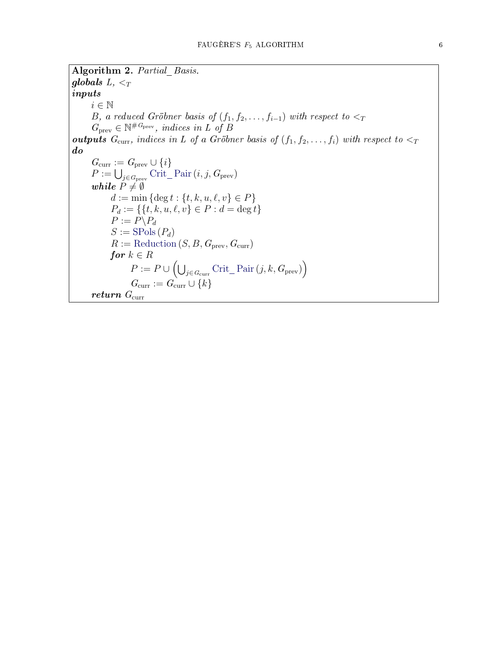<span id="page-5-0"></span>Algorithm 2. Partial Basis. globals  $L, <_T$ inputs  $i \in \mathbb{N}$ B, a reduced Gröbner basis of  $(f_1, f_2, \ldots, f_{i-1})$  with respect to  $\lt_T$  $G_{\text{prev}} \in \mathbb{N}^{\#G_{\text{prev}}}$ , indices in L of B outputs  $G_{\text{curr}}$ , indices in L of a Gröbner basis of  $(f_1, f_2, \ldots, f_i)$  with respect to  $\lt_T$ do  $G_{\text{curr}} := G_{\text{prev}} \cup \{i\}$  $P := \bigcup_{j \in G_{\text{prev}}} \text{Crit\_Pair}(i, j, G_{\text{prev}})$  $P := \bigcup_{j \in G_{\text{prev}}} \text{Crit\_Pair}(i, j, G_{\text{prev}})$  $P := \bigcup_{j \in G_{\text{prev}}} \text{Crit\_Pair}(i, j, G_{\text{prev}})$ while  $P\neq \emptyset$  $d := \min \{ \deg t : \{t, k, u, \ell, v\} \in P \}$  $P_d := \{ \{t, k, u, \ell, v\} \in P : d = \deg t \}$  $P := \widetilde{P} \backslash P_d$  $S := \text{SPols}(P_d)$  $S := \text{SPols}(P_d)$  $S := \text{SPols}(P_d)$  $R := \text{Reduction}(S, B, G_{\text{prev}}, G_{\text{curr}})$  $R := \text{Reduction}(S, B, G_{\text{prev}}, G_{\text{curr}})$  $R := \text{Reduction}(S, B, G_{\text{prev}}, G_{\text{curr}})$ for  $k \in R$  $P := P \cup \left( \bigcup_{j \in G_{\text{curr}}} \text{Crit\_Pair}\left(j, k, G_{\text{prev}}\right) \right)$  $P := P \cup \left( \bigcup_{j \in G_{\text{curr}}} \text{Crit\_Pair}\left(j, k, G_{\text{prev}}\right) \right)$  $P := P \cup \left( \bigcup_{j \in G_{\text{curr}}} \text{Crit\_Pair}\left(j, k, G_{\text{prev}}\right) \right)$  $G_{\text{curr}} := G_{\text{curr}} \cup \{k\}$ return  $G_{\text{curr}}$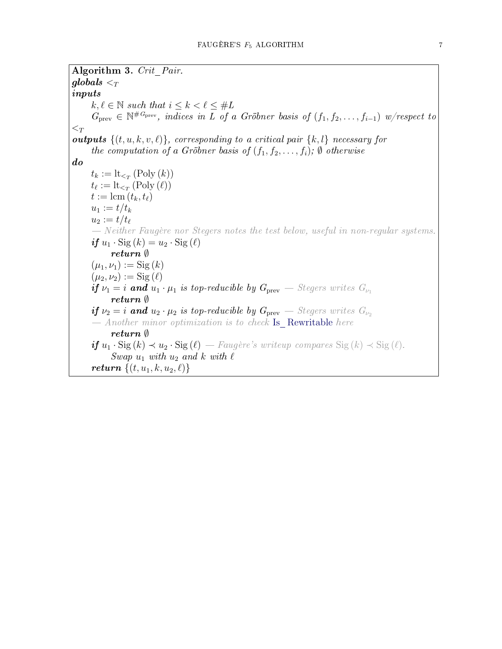<span id="page-6-0"></span>Algorithm 3. Crit Pair.  $\boldsymbol{globals} <_{T}$ inputs  $k, \ell \in \mathbb{N}$  such that  $i \leq k < \ell \leq \#L$  $G_{\text{prev}} \in \mathbb{N}^{\#G_{\text{prev}}}$ , indices in  $\overline{L}$  of a Gröbner basis of  $(f_1, f_2, \ldots, f_{i-1})$  w/respect to  $\lt_T$ **outputs**  $\{(t, u, k, v, \ell)\}\$ , corresponding to a critical pair  $\{k, l\}$  necessary for the computation of a Gröbner basis of  $(f_1, f_2, \ldots, f_i)$ ;  $\emptyset$  otherwise do  $t_k := \operatorname{lt}_{\leq T} (\text{Poly } (k))$  $t_{\ell} := \operatorname{lt}_{\leq_T} (\operatorname{Poly}(\ell))$  $t := \text{lcm}(t_k, t_\ell)$  $u_1 := t/t_k$  $u_2 := t/t_{\ell}$  $N$ either Faugère nor Stegers notes the test below, useful in non-regular systems. if  $u_1 \cdot \text{Sig}(k) = u_2 \cdot \text{Sig}(\ell)$ return ∅  $(\mu_1, \nu_1) := \text{Sig}(k)$  $(\mu_2, \nu_2) := \mathrm{Sig}(\ell)$ if  $\nu_1 = i$  and  $u_1 \cdot \mu_1$  is top-reducible by  $G_{\text{prev}}$  - Stegers writes  $G_{\nu_1}$ return ∅ if  $\nu_2 = i$  and  $u_2 \cdot \mu_2$  is top-reducible by  $G_{\text{prev}}$  - Stegers writes  $G_{\nu_2}$  $A$ nother minor optimization is to check Is [Rewritable](#page-10-1) here return ∅ **if**  $u_1 \cdot \text{Sig}(k) \prec u_2 \cdot \text{Sig}(\ell)$  − Faugère's writeup compares Sig  $(k) \prec \text{Sig}(\ell)$ . Swap  $u_1$  with  $u_2$  and k with  $\ell$ return  $\{(t, u_1, k, u_2, \ell)\}$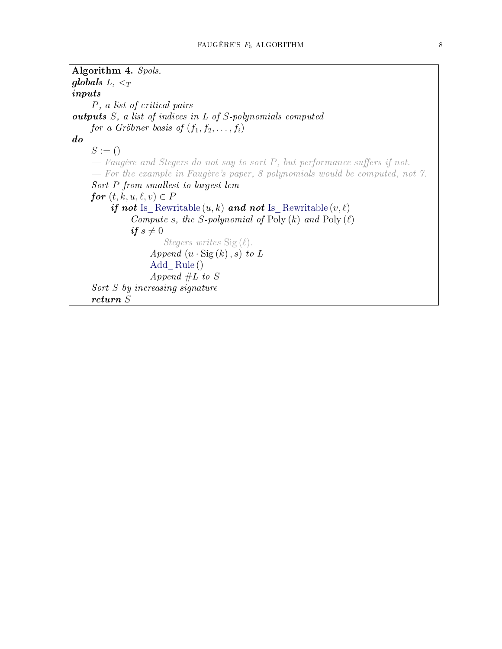```
Algorithm 4. Spols.
globals L, <_Tinputs
    P, a list of critical pairs
outputs S, a list of indices in L of S-polynomials computed
    for a Gröbner basis of (f_1, f_2, \ldots, f_i)do
    S := ()F_{\text{e}} Faugère and Stegers do not say to sort P, but performance suffers if not.
    F For the example in Faugère's paper, 8 polynomials would be computed, not 7.
    Sort P from smallest to largest lcm
    for (t, k, u, \ell, v) \in PRewritable (u, k) and not Is Rewritable (v, \ell)Compute s, the S-polynomial of Poly (k) and Poly (\ell)if s \neq 0- Stegers writes Sig(\ell).
                   Append (u \cdot \text{Sig}(k), s) to L
                   Add_Rule ()
                   Append #L to S
    Sort S by increasing signature
    return S
```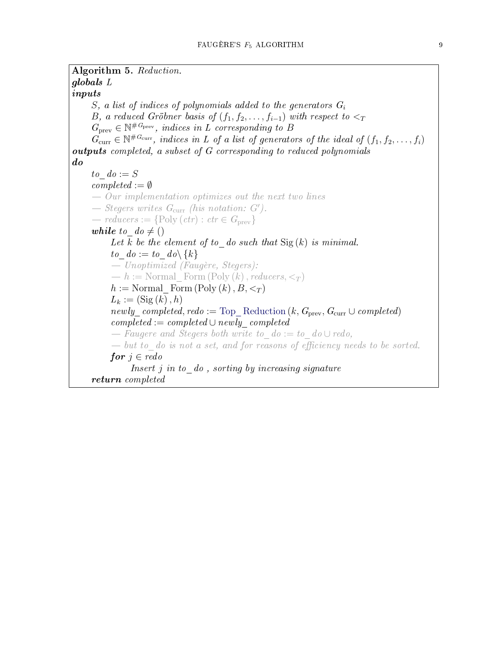```
Algorithm 5. Reduction.
globals L
inputs
     S, a list of indices of polynomials added to the generators G_iB, a reduced Gröbner basis of (f_1, f_2, \ldots, f_{i-1}) with respect to \lt_TG_{\text{prev}} \in \mathbb{N}^{\#G_{\text{prev}}}, indices in L corresponding to B
     G_{\text{curr}} \in \mathbb{N}^{\#G_{\text{curr}}}, indices in L of a list of generators of the ideal of (f_1, f_2, \ldots, f_i)outputs completed, a subset of G corresponding to reduced polynomials
do
     to do := Scompleted := \emptyset\theta - Our implementation optimizes out the next two lines
     - Stegers writes G_{\text{curr}} (his notation: G').
     - reducers := {Poly (\text{ctr}) : \text{ctr} \in G_{\text{prev}}}
     while to d\theta \neq ()Let k be the element of to _ do such that \text{Sig}(k) is minimal.
          to\_do := to\_do \setminus \{k\}- Unoptimized (Faugère, Stegers):
           h := \text{Normal Form}(\text{Poly} (k), \text{reducers}, \leq_T )h := Normal Form (Poly (k), B, <_T )L_k := (\text{Sig}(k), h)Reduction (k, G_{prev}, G_{curr} \cup completed)completed := completed \cup newly^c\ computed- Faugere and Stegers both write to d\circ := t\circ d\circ \cup redo,
           -but to do is not a set, and for reasons of efficiency needs to be sorted.
          for j \in redoInsert j in to \phi , sorting by increasing signature
     return completed
```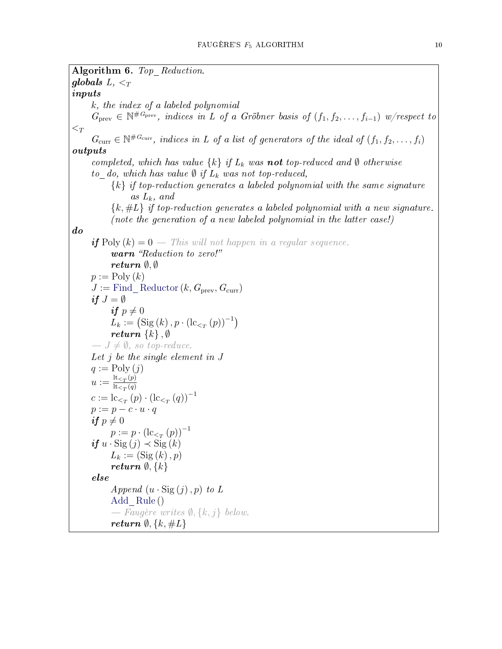<span id="page-9-0"></span>Algorithm 6. Top Reduction. globals  $L, <_T$ inputs k, the index of a labeled polynomial  $G_{\text{prev}} \in \mathbb{N}^{\#G_{\text{prev}}}$ , indices in L of a Gröbner basis of  $(f_1, f_2, \ldots, f_{i-1})$  w/respect to  $\lt_T$  $G_{\text{curr}} \in \mathbb{N}^{\#G_{\text{curr}}}$ , indices in L of a list of generators of the ideal of  $(f_1, f_2, \ldots, f_i)$ outputs completed, which has value  $\{k\}$  if  $L_k$  was **not** top-reduced and  $\emptyset$  otherwise to do, which has value  $\emptyset$  if  $L_k$  was not top-reduced,  ${k}$  if top-reduction generates a labeled polynomial with the same signature as  $L_k$ , and  ${k, \#L}$  if top-reduction generates a labeled polynomial with a new signature. (note the generation of a new labeled polynomial in the latter case!) do **if**  $Poly(k) = 0$  — This will not happen in a regular sequence. warn "Reduction to zero!" return ∅, ∅  $p := \text{Poly}(k)$  $J :=$  Find [Reductor](#page-10-0)  $(k, G_{\text{prev}}, G_{\text{curr}})$ if  $J = \emptyset$ if  $p \neq 0$  $L_k := (\text{Sig}(k), p \cdot (\text{lc}_{\leq T}(p))^{-1})$ return  $\{k\}, \emptyset$  $J \neq \emptyset$ , so top-reduce. Let j be the single element in J  $q := \text{Poly } (i)$  $u := \frac{\text{lt}_{\leq T}(p)}{\text{lt}_{\leq}(q)}$  $\operatorname{lt}_{\leq T}(q)$  $c := \mathrm{lc}_{\leq_T}(p) \cdot (\mathrm{lc}_{\leq_T}(q))^{-1}$  $p := p - c \cdot u \cdot q$ if  $p \neq 0$  $p := p \cdot (\text{lc}_{\leq T}(p))^{-1}$ if  $u \cdot \text{Sig}(j) \prec \text{Sig}(k)$  $L_k := (\text{Sig}(k), p)$ return  $\emptyset, \{k\}$ else Append  $(u \cdot \text{Sig}(j), p)$  to L Add [Rule](#page-10-2) ()  $-$  Faugère writes  $\emptyset$ ,  $\{k, j\}$  below. return  $\emptyset$ ,  $\{k, \#L\}$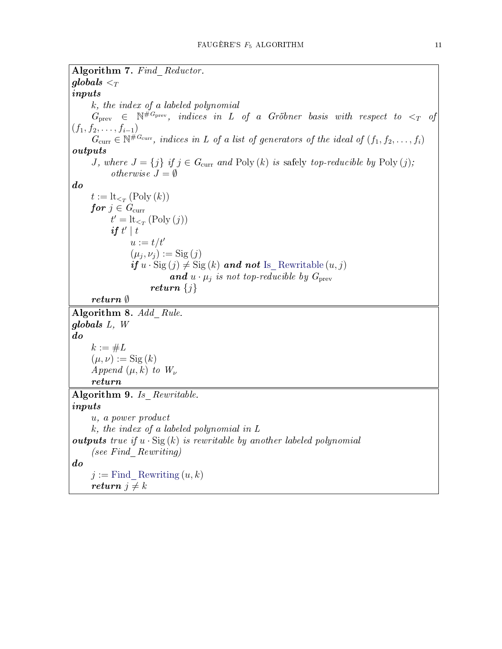<span id="page-10-2"></span><span id="page-10-1"></span><span id="page-10-0"></span>Algorithm 7. Find Reductor.  $\boldsymbol{globals} <_T$ inputs k, the index of a labeled polynomial  $G_{\text{prev}}$   $\in$   $\mathbb{N}^{\#G_{\text{prev}}}$ , indices in L of a Gröbner basis with respect to  $\lt_T$  of  $(f_1, f_2, \ldots, f_{i-1})$  $G_{\text{curr}} \in \mathbb{N}^{\#G_{\text{curr}}}$ , indices in L of a list of generators of the ideal of  $(f_1, f_2, \ldots, f_i)$ outputs J, where  $J = \{j\}$  if  $j \in G_{\text{curr}}$  and  $\text{Poly}(k)$  is safely top-reducible by  $\text{Poly}(j)$ ; *otherwise*  $J = \emptyset$ do  $t := \operatorname{lt}_{\leq T} (\operatorname{Poly}(k))$ for  $j \in G_{\text{curr}}$  $t' = \operatorname{lt}_{\leq T} (\text{Poly } (j))$ if  $t' | t$  $u := t/t'$  $(\mu_j, \nu_j) := \mathrm{Sig}\,(j)$ if  $u \cdot \text{Sig}(j) \neq \text{Sig}(k)$  and not Is [Rewritable](#page-10-1)  $(u, j)$ **and**  $u \cdot \mu_j$  is not top-reducible by  $G_{\text{prev}}$ return  $\{j\}$ return ∅ Algorithm 8. Add Rule. globals L, W do  $k := \#L$  $(\mu, \nu) := \mathrm{Sig}(k)$ Append  $(\mu, k)$  to  $W_{\nu}$ return Algorithm 9. Is Rewritable. inputs u, a power product k, the index of a labeled polynomial in L **outputs** true if  $u \cdot \text{Sig}(k)$  is rewritable by another labeled polynomial (see Find\_Rewriting) do  $j :=$  Find [Rewriting](#page-11-6)  $(u, k)$ return  $j \neq k$